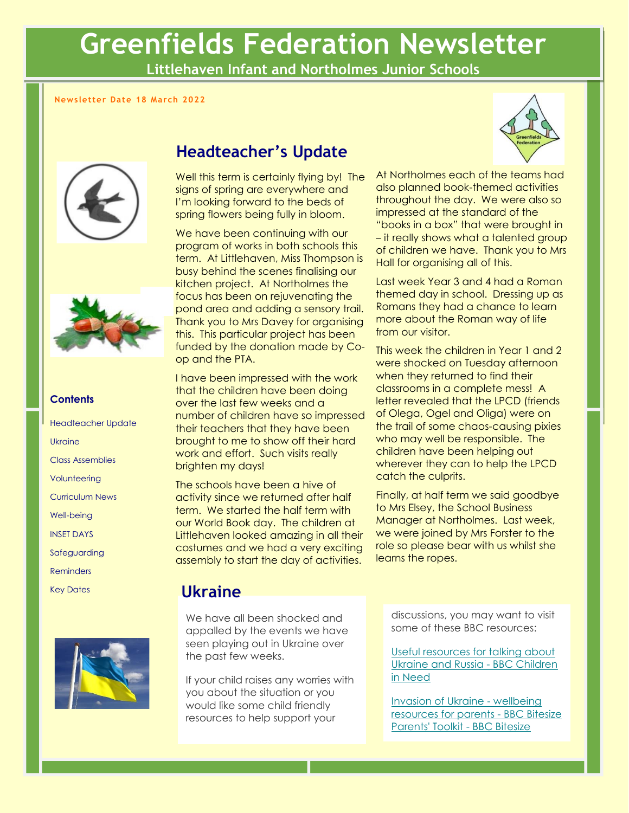# **Greenfields Federation Newsletter**

**Littlehaven Infant and Northolmes Junior Schools**

#### **Newsletter Date 18 March 2022**





#### **Contents**

Headteacher Update Ukraine Class Assemblies **Volunteering** Curriculum News Well-being INSET DAYS Safeguarding Reminders Key Dates



### **Headteacher's Update**

Well this term is certainly flying by! The signs of spring are everywhere and I'm looking forward to the beds of spring flowers being fully in bloom.

We have been continuing with our program of works in both schools this term. At Littlehaven, Miss Thompson is busy behind the scenes finalising our kitchen project. At Northolmes the focus has been on rejuvenating the pond area and adding a sensory trail. Thank you to Mrs Davey for organising this. This particular project has been funded by the donation made by Coop and the PTA.

I have been impressed with the work that the children have been doing over the last few weeks and a number of children have so impressed their teachers that they have been brought to me to show off their hard work and effort. Such visits really brighten my days!

The schools have been a hive of activity since we returned after half term. We started the half term with our World Book day. The children at Littlehaven looked amazing in all their costumes and we had a very exciting assembly to start the day of activities.



At Northolmes each of the teams had also planned book-themed activities throughout the day. We were also so impressed at the standard of the "books in a box" that were brought in – it really shows what a talented group of children we have. Thank you to Mrs Hall for organising all of this.

Last week Year 3 and 4 had a Roman themed day in school. Dressing up as Romans they had a chance to learn more about the Roman way of life from our visitor.

This week the children in Year 1 and 2 were shocked on Tuesday afternoon when they returned to find their classrooms in a complete mess! A letter revealed that the LPCD (friends of Olega, Ogel and Oliga) were on the trail of some chaos-causing pixies who may well be responsible. The children have been helping out wherever they can to help the LPCD catch the culprits.

Finally, at half term we said goodbye to Mrs Elsey, the School Business Manager at Northolmes. Last week, we were joined by Mrs Forster to the role so please bear with us whilst she learns the ropes.

### **Ukraine**

We have all been shocked and appalled by the events we have seen playing out in Ukraine over the past few weeks.

If your child raises any worries with you about the situation or you would like some child friendly resources to help support your

discussions, you may want to visit some of these BBC resources:

[Useful resources for talking about](https://www.bbcchildreninneed.co.uk/changing-lives/useful-resources-for-talking-about-ukraine-and-russia/)  [Ukraine and Russia -](https://www.bbcchildreninneed.co.uk/changing-lives/useful-resources-for-talking-about-ukraine-and-russia/) BBC Children [in Need](https://www.bbcchildreninneed.co.uk/changing-lives/useful-resources-for-talking-about-ukraine-and-russia/)

[Invasion of Ukraine -](https://www.bbc.co.uk/bitesize/articles/zvpvbqt) wellbeing [resources for parents -](https://www.bbc.co.uk/bitesize/articles/zvpvbqt) BBC Bitesize [Parents' Toolkit -](https://www.bbc.co.uk/bitesize/articles/zvpvbqt) BBC Bitesize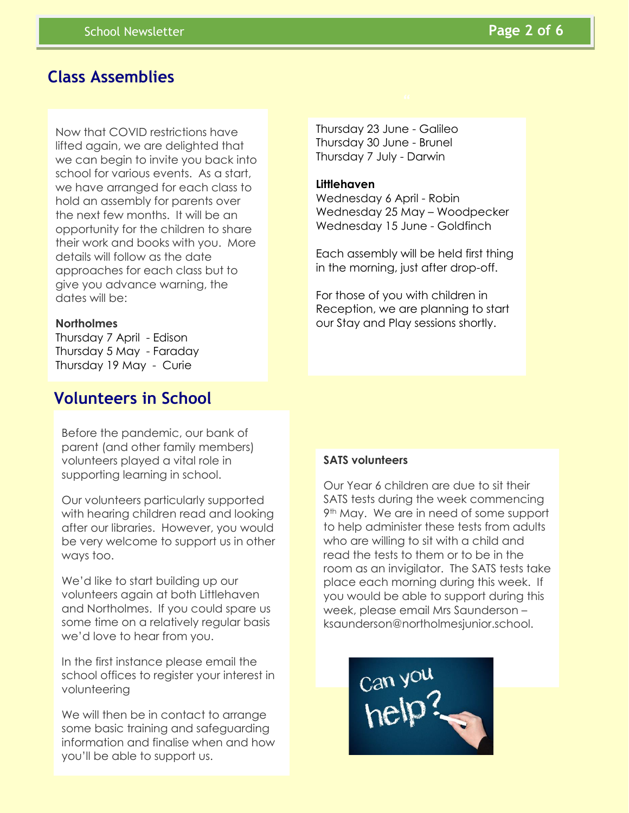### **Class Assemblies**

Now that COVID restrictions have lifted again, we are delighted that we can begin to invite you back into school for various events. As a start, we have arranged for each class to hold an assembly for parents over the next few months. It will be an opportunity for the children to share their work and books with you. More details will follow as the date approaches for each class but to give you advance warning, the dates will be:

### **Northolmes**

Thursday 7 April - Edison Thursday 5 May - Faraday Thursday 19 May - Curie

### **Volunteers in School**

Before the pandemic, our bank of parent (and other family members) volunteers played a vital role in supporting learning in school.

Our volunteers particularly supported with hearing children read and looking after our libraries. However, you would be very welcome to support us in other ways too.

We'd like to start building up our volunteers again at both Littlehaven and Northolmes. If you could spare us some time on a relatively regular basis we'd love to hear from you.

In the first instance please email the school offices to register your interest in volunteering

We will then be in contact to arrange some basic training and safeguarding information and finalise when and how you'll be able to support us.

Thursday 23 June - Galileo Thursday 30 June - Brunel Thursday 7 July - Darwin

#### **Littlehaven**

Wednesday 6 April - Robin Wednesday 25 May – Woodpecker Wednesday 15 June - Goldfinch

Each assembly will be held first thing in the morning, just after drop-off.

For those of you with children in Reception, we are planning to start our Stay and Play sessions shortly.

### **SATS volunteers**

Our Year 6 children are due to sit their SATS tests during the week commencing 9th May. We are in need of some support to help administer these tests from adults who are willing to sit with a child and read the tests to them or to be in the room as an invigilator. The SATS tests take place each morning during this week. If you would be able to support during this week, please email Mrs Saunderson – ksaunderson@northolmesjunior.school.

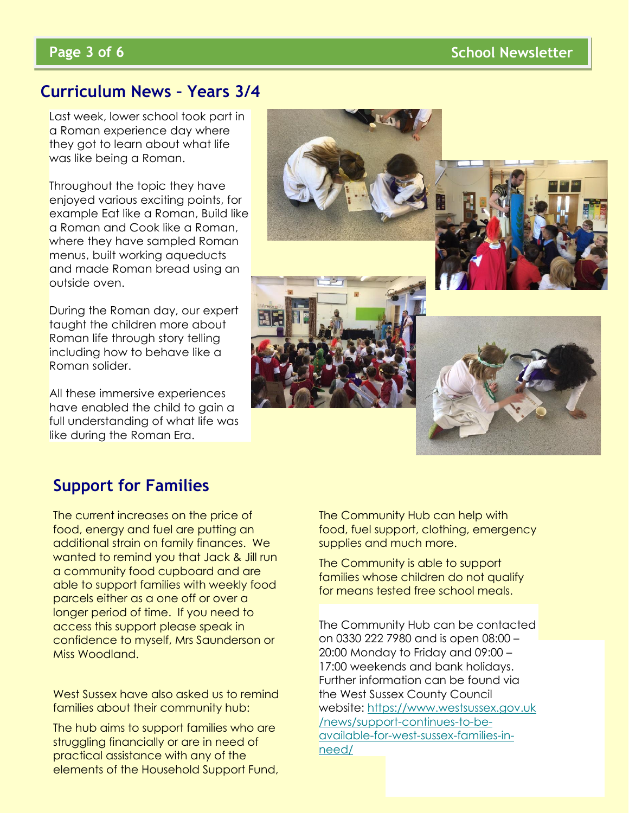### **Curriculum News – Years 3/4**

Last week, lower school took part in a Roman experience day where they got to learn about what life was like being a Roman.

Throughout the topic they have enioyed various exciting points, for example Eat like a Roman, Build like a Roman and Cook like a Roman, where they have sampled Roman menus, built working aqueducts and made Roman bread using an outside oven.

During the Roman day, our expert taught the children more about Roman life through story telling including how to behave like a Roman solider.

All these immersive experiences have enabled the child to gain a full understanding of what life was like during the Roman Era.



### **Support for Families**

The current increases on the price of food, energy and fuel are putting an additional strain on family finances. We wanted to remind you that Jack & Jill run a community food cupboard and are able to support families with weekly food parcels either as a one off or over a longer period of time. If you need to access this support please speak in confidence to myself, Mrs Saunderson or Miss Woodland.

West Sussex have also asked us to remind families about their community hub:

The hub aims to support families who are struggling financially or are in need of practical assistance with any of the elements of the Household Support Fund, The Community Hub can help with food, fuel support, clothing, emergency supplies and much more.

The Community is able to support families whose children do not qualify for means tested free school meals.

The children at Northolmes spent 20:00 Monday to Friday and 09:00 – zo.comenaay to maay and on.com<br>17:00 weekends and bank holidays. und bunk nolludys. Further information can be found via the West Sussex County Council website: <u>[https://www.westsussex.gov.uk](https://www.westsussex.gov.uk/news/support-continues-to-be-available-for-west-sussex-families-in-need/)</u> [/news/support-continues-to-be](https://www.westsussex.gov.uk/news/support-continues-to-be-available-for-west-sussex-families-in-need/)[available-for-west-sussex-families-in-](https://www.westsussex.gov.uk/news/support-continues-to-be-available-for-west-sussex-families-in-need/)The Community Hub can be contacted on 0330 222 7980 and is open 08:00 – [need/](https://www.westsussex.gov.uk/news/support-continues-to-be-available-for-west-sussex-families-in-need/)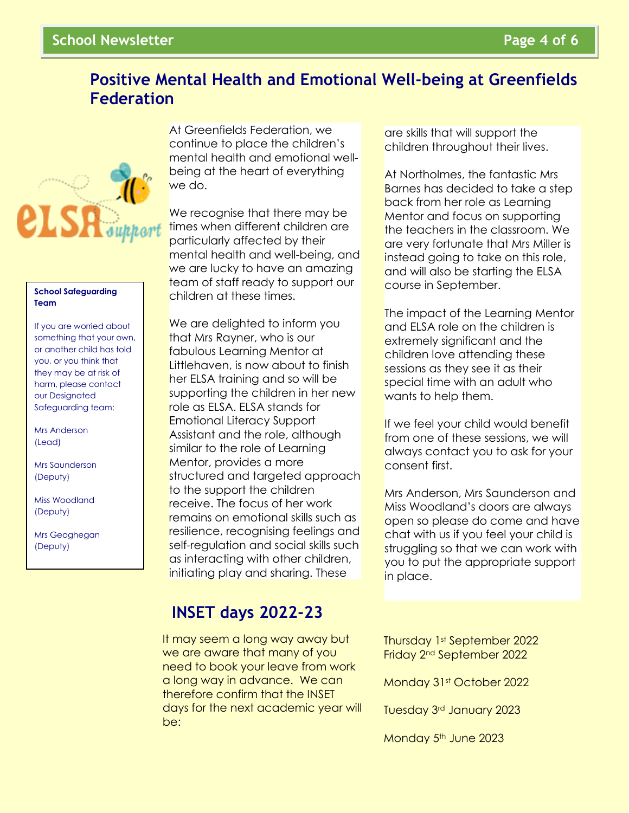### **Positive Mental Health and Emotional Well-being at Greenfields Federation**



#### **School Safeguarding Team**

If you are worried about something that your own, or another child has told you, or you think that they may be at risk of harm, please contact our Designated Safeguarding team:

Mrs Anderson (Lead)

Mrs Saunderson (Deputy)

Miss Woodland (Deputy)

Mrs Geoghegan (Deputy)

At Greenfields Federation, we continue to place the children's mental health and emotional wellbeing at the heart of everything we do.

We recognise that there may be times when different children are particularly affected by their mental health and well-being, and we are lucky to have an amazing team of staff ready to support our children at these times.

We are delighted to inform you that Mrs Rayner, who is our fabulous Learning Mentor at Littlehaven, is now about to finish her ELSA training and so will be supporting the children in her new role as ELSA. ELSA stands for Emotional Literacy Support Assistant and the role, although similar to the role of Learning Mentor, provides a more structured and targeted approach to the support the children receive. The focus of her work remains on emotional skills such as resilience, recognising feelings and self-regulation and social skills such as interacting with other children, initiating play and sharing. These

### **INSET days 2022-23**

It may seem a long way away but we are aware that many of you need to book your leave from work a long way in advance. We can therefore confirm that the INSET days for the next academic year will be:

are skills that will support the children throughout their lives.

At Northolmes, the fantastic Mrs Barnes has decided to take a step back from her role as Learning Mentor and focus on supporting the teachers in the classroom. We are very fortunate that Mrs Miller is instead going to take on this role, and will also be starting the ELSA course in September.

The impact of the Learning Mentor and ELSA role on the children is extremely significant and the children love attending these sessions as they see it as their special time with an adult who wants to help them.

If we feel your child would benefit from one of these sessions, we will always contact you to ask for your consent first.

Mrs Anderson, Mrs Saunderson and Miss Woodland's doors are always open so please do come and have chat with us if you feel your child is struggling so that we can work with you to put the appropriate support in place.

Friday 2<sup>nd</sup> September 2022 Thursday 1st September 2022

Monday 31st October 2022

Tuesday 3rd January 2023

Monday 5<sup>th</sup> June 2023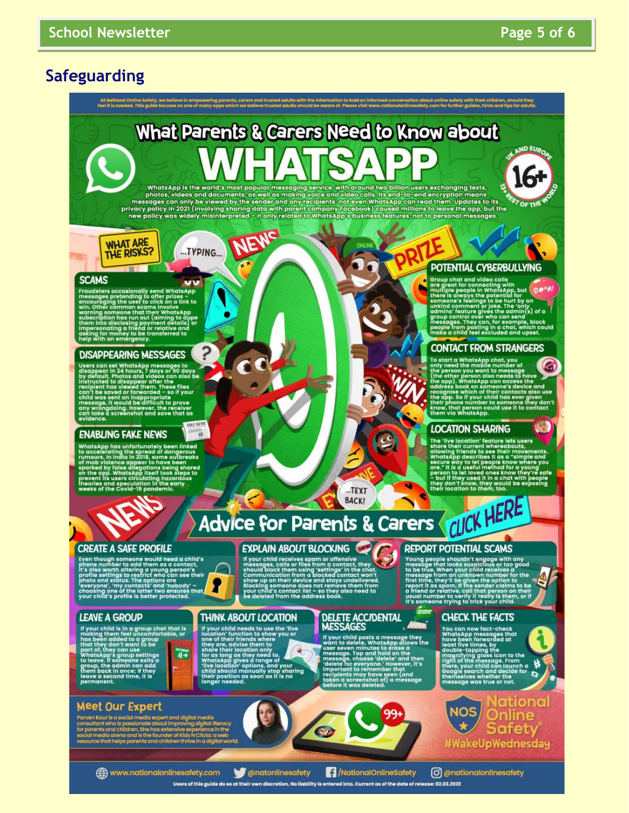### **Safeguarding**



**EXPLAIN ABOUT BLOCKING** 

Exercise the control of the state of the state of the state of the state of the state of the state of the state of the state of the communication from a blocked contact, they have a state of the state of the state of the s

#### **CREATE A SAFE PROFILE**

**EXECUTE AT OFTLE FINOTIE.**<br>
Exemption and the property of the phone number to add them as a contact,<br>
it's also worth attering a young person's<br>
profile settings to restrict who can see their<br>
photo and status. The option

#### **LEANE A GROUP**

**EXAMPLE THE CONCORRENT CONSUMING THE CONSUMING SET AND SET AND SET AND SET AND SET AND SET AND SET AND SET AND SET AND SET AND SET AND SET AND SET AND SET AND SET AND SET AND SET AND SET AND SET AND SET AND SET AND SET AN**  $\begin{array}{c}\n\text{for some} \\
\text{if } \theta \neq 0\n\end{array}$ l Dues<br>e a seco<br>sanent.

### **Meet Our Expert**

n Kaur is a social media expert and d name.<br>hg digital literacy<br>mperience in the lps parents and children thrive in a digital y

#### **THINK ABOUT LOCATION**

If your child needs to use the "live<br>location" function to show you or<br>they are, advise them to show you or<br>share their ficiends where<br>share their location only<br>for as long as they need to<br>"live location" options, and your irina

## DELETE ACCIDENTAL

If your child posts a message they<br>want to delete, whats Appellows the<br>message. Tap and hold can the<br>message. Tap and hold can the<br>message. Tap and hold can then<br>message choose racities when their<br>mortant to remember that<br>

### **REPORT POTENTIAL SCAMS**

NET ON THE THE MILITIAL STATES THAT THE MORE WITHOUT THE MILITIAL THE MILITIAL THE MILITIAL THE MILITIAL THE MILITIAL THE MILITIAL THE MILITIAL THE MILITIAL THAT THE MILITIAL THAT THE MILITIAL THAT THAT THAT THAT IS USED I

#### **CHECK THE FACTS**

Tou can now fact-check<br>WhatsApp messages that<br>have been forwarded at<br>least five times, by<br>double-tapping the<br>double-tapping loss icon to the<br>right of the message. From<br>there, your child can launch a<br>chere the message. From nselves whether the<br>sage was true or not.



www.nationalonlinesafety.com Users of this guide do so at their own discretion. No liability is entered into. Current as of the date of release: 02.03.2022

**Conatonlinesafety** MationalOnlineSafety

C @nationalonlinesafety